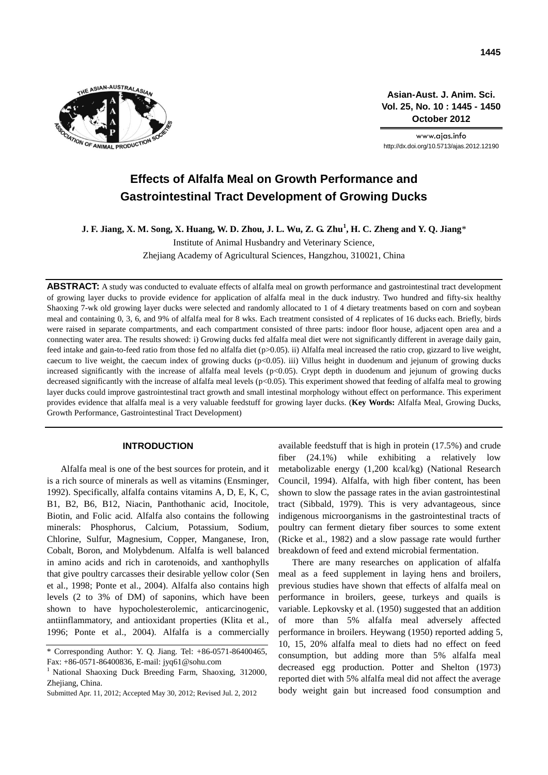

**Asian-Aust. J. Anim. Sci. Vol. 25, No. 10 : 1445 - 1450 October 2012**

www.ajas.info http://dx.doi.org/10.5713/ajas.2012.12190

# **Effects of Alfalfa Meal on Growth Performance and Gastrointestinal Tract Development of Growing Ducks**

**J. F. Jiang, X. M. Song, X. Huang, W. D. Zhou, J. L. Wu, Z. G. Zhu<sup>1</sup> , H. C. Zheng and Y. Q. Jiang**\*

Institute of Animal Husbandry and Veterinary Science, Zhejiang Academy of Agricultural Sciences, Hangzhou, 310021, China

**ABSTRACT:** A study was conducted to evaluate effects of alfalfa meal on growth performance and gastrointestinal tract development of growing layer ducks to provide evidence for application of alfalfa meal in the duck industry. Two hundred and fifty-six healthy Shaoxing 7-wk old growing layer ducks were selected and randomly allocated to 1 of 4 dietary treatments based on corn and soybean meal and containing 0, 3, 6, and 9% of alfalfa meal for 8 wks. Each treatment consisted of 4 replicates of 16 ducks each. Briefly, birds were raised in separate compartments, and each compartment consisted of three parts: indoor floor house, adjacent open area and a connecting water area. The results showed: i) Growing ducks fed alfalfa meal diet were not significantly different in average daily gain, feed intake and gain-to-feed ratio from those fed no alfalfa diet (p>0.05). ii) Alfalfa meal increased the ratio crop, gizzard to live weight, caecum to live weight, the caecum index of growing ducks  $(p<0.05)$ . iii) Villus height in duodenum and jejunum of growing ducks increased significantly with the increase of alfalfa meal levels (p<0.05). Crypt depth in duodenum and jejunum of growing ducks decreased significantly with the increase of alfalfa meal levels (p<0.05). This experiment showed that feeding of alfalfa meal to growing layer ducks could improve gastrointestinal tract growth and small intestinal morphology without effect on performance. This experiment provides evidence that alfalfa meal is a very valuable feedstuff for growing layer ducks. (**Key Words:** Alfalfa Meal, Growing Ducks, Growth Performance, Gastrointestinal Tract Development)

## **INTRODUCTION**

Alfalfa meal is one of the best sources for protein, and it is a rich source of minerals as well as vitamins (Ensminger, 1992). Specifically, alfalfa contains vitamins A, D, E, K, C, B1, B2, B6, B12, Niacin, Panthothanic acid, Inocitole, Biotin, and Folic acid. Alfalfa also contains the following minerals: Phosphorus, Calcium, Potassium, Sodium, Chlorine, Sulfur, Magnesium, Copper, Manganese, Iron, Cobalt, Boron, and Molybdenum. Alfalfa is well balanced in amino acids and rich in carotenoids, and xanthophylls that give poultry carcasses their desirable yellow color (Sen et al., 1998; Ponte et al., 2004). Alfalfa also contains high levels (2 to 3% of DM) of saponins, which have been shown to have hypocholesterolemic, anticarcinogenic, antiinflammatory, and antioxidant properties (Klita et al., 1996; Ponte et al., 2004). Alfalfa is a commercially available feedstuff that is high in protein (17.5%) and crude fiber (24.1%) while exhibiting a relatively low metabolizable energy (1,200 kcal/kg) (National Research Council, 1994). Alfalfa, with high fiber content, has been shown to slow the passage rates in the avian gastrointestinal tract (Sibbald, 1979). This is very advantageous, since indigenous microorganisms in the gastrointestinal tracts of poultry can ferment dietary fiber sources to some extent (Ricke et al., 1982) and a slow passage rate would further breakdown of feed and extend microbial fermentation.

There are many researches on application of alfalfa meal as a feed supplement in laying hens and broilers, previous studies have shown that effects of alfalfa meal on performance in broilers, geese, turkeys and quails is variable. Lepkovsky et al. (1950) suggested that an addition of more than 5% alfalfa meal adversely affected performance in broilers. Heywang (1950) reported adding 5, 10, 15, 20% alfalfa meal to diets had no effect on feed consumption, but adding more than 5% alfalfa meal decreased egg production. Potter and Shelton (1973) reported diet with 5% alfalfa meal did not affect the average body weight gain but increased food consumption and

<sup>\*</sup> Corresponding Author: Y. Q. Jiang. Tel: +86-0571-86400465, Fax: +86-0571-86400836, E-mail: jyq61@sohu.com

<sup>&</sup>lt;sup>1</sup> National Shaoxing Duck Breeding Farm, Shaoxing, 312000, Zhejiang, China.

Submitted Apr. 11, 2012; Accepted May 30, 2012; Revised Jul. 2, 2012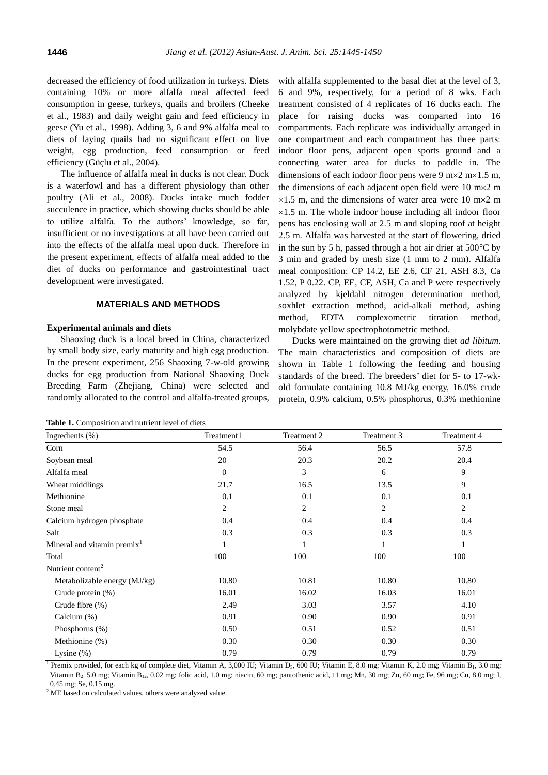decreased the efficiency of food utilization in turkeys. Diets containing 10% or more alfalfa meal affected feed consumption in geese, turkeys, quails and broilers (Cheeke et al., 1983) and daily weight gain and feed efficiency in geese (Yu et al., 1998). Adding 3, 6 and 9% alfalfa meal to diets of laying quails had no significant effect on live weight, egg production, feed consumption or feed efficiency (Güçlu et al., 2004).

The influence of alfalfa meal in ducks is not clear. Duck is a waterfowl and has a different physiology than other poultry (Ali et al., 2008). Ducks intake much fodder succulence in practice, which showing ducks should be able to utilize alfalfa. To the authors' knowledge, so far, insufficient or no investigations at all have been carried out into the effects of the alfalfa meal upon duck. Therefore in the present experiment, effects of alfalfa meal added to the diet of ducks on performance and gastrointestinal tract development were investigated.

#### **MATERIALS AND METHODS**

## **Experimental animals and diets**

Shaoxing duck is a local breed in China, characterized by small body size, early maturity and high egg production. In the present experiment, 256 Shaoxing 7-w-old growing ducks for egg production from National Shaoxing Duck Breeding Farm (Zhejiang, China) were selected and randomly allocated to the control and alfalfa-treated groups,

|  | Table 1. Composition and nutrient level of diets |  |  |  |
|--|--------------------------------------------------|--|--|--|
|--|--------------------------------------------------|--|--|--|

with alfalfa supplemented to the basal diet at the level of 3, 6 and 9%, respectively, for a period of 8 wks. Each treatment consisted of 4 replicates of 16 ducks each. The place for raising ducks was comparted into 16 compartments. Each replicate was individually arranged in one compartment and each compartment has three parts: indoor floor pens, adjacent open sports ground and a connecting water area for ducks to paddle in. The dimensions of each indoor floor pens were 9 m $\times$ 2 m $\times$ 1.5 m, the dimensions of each adjacent open field were  $10 \text{ m} \times 2 \text{ m}$  $\times1.5$  m, and the dimensions of water area were 10 m $\times2$  m  $\times$ 1.5 m. The whole indoor house including all indoor floor pens has enclosing wall at 2.5 m and sloping roof at height 2.5 m. Alfalfa was harvested at the start of flowering, dried in the sun by 5 h, passed through a hot air drier at  $500^{\circ}$ C by 3 min and graded by mesh size (1 mm to 2 mm). Alfalfa meal composition: CP 14.2, EE 2.6, CF 21, ASH 8.3, Ca 1.52, P 0.22. CP, EE, CF, ASH, Ca and P were respectively analyzed by kjeldahl nitrogen determination method, soxhlet extraction method, acid-alkali method, ashing method, EDTA complexometric titration method, molybdate yellow spectrophotometric method.

Ducks were maintained on the growing diet *ad libitum*. The main characteristics and composition of diets are shown in Table 1 following the feeding and housing standards of the breed. The breeders' diet for 5- to 17-wkold formulate containing 10.8 MJ/kg energy, 16.0% crude protein, 0.9% calcium, 0.5% phosphorus, 0.3% methionine

| Ingredients $(\%)$             | Treatment1 | Treatment 2    | Treatment 3 | Treatment 4    |
|--------------------------------|------------|----------------|-------------|----------------|
| Corn                           | 54.5       | 56.4           | 56.5        | 57.8           |
| Soybean meal                   | 20         | 20.3           | 20.2        | 20.4           |
| Alfalfa meal                   | $\Omega$   | 3              | 6           | 9              |
| Wheat middlings                | 21.7       | 16.5           | 13.5        | 9              |
| Methionine                     | 0.1        | 0.1            | 0.1         | 0.1            |
| Stone meal                     | 2          | $\overline{2}$ | 2           | $\overline{c}$ |
| Calcium hydrogen phosphate     | 0.4        | 0.4            | 0.4         | 0.4            |
| Salt                           | 0.3        | 0.3            | 0.3         | 0.3            |
| Mineral and vitamin premix $1$ |            | $\mathbf{1}$   |             | 1              |
| Total                          | 100        | 100            | 100         | 100            |
| Nutrient content <sup>2</sup>  |            |                |             |                |
| Metabolizable energy (MJ/kg)   | 10.80      | 10.81          | 10.80       | 10.80          |
| Crude protein $(\%)$           | 16.01      | 16.02          | 16.03       | 16.01          |
| Crude fibre $(\%)$             | 2.49       | 3.03           | 3.57        | 4.10           |
| Calcium $(\%)$                 | 0.91       | 0.90           | 0.90        | 0.91           |
| Phosphorus (%)                 | 0.50       | 0.51           | 0.52        | 0.51           |
| Methionine (%)                 | 0.30       | 0.30           | 0.30        | 0.30           |
| Lysine $(\%)$                  | 0.79       | 0.79           | 0.79        | 0.79           |

<sup>1</sup> Premix provided, for each kg of complete diet, Vitamin A, 3,000 IU; Vitamin D<sub>3</sub>, 600 IU; Vitamin E, 8.0 mg; Vitamin K, 2.0 mg; Vitamin B<sub>1</sub>, 3.0 mg; Vitamin B<sub>2</sub>, 5.0 mg; Vitamin B<sub>12</sub>, 0.02 mg; folic acid, 1.0 mg; niacin, 60 mg; pantothenic acid, 11 mg; Mn, 30 mg; Zn, 60 mg; Fe, 96 mg; Cu, 8.0 mg; I, 0.45 mg; Se, 0.15 mg.

<sup>2</sup> ME based on calculated values, others were analyzed value.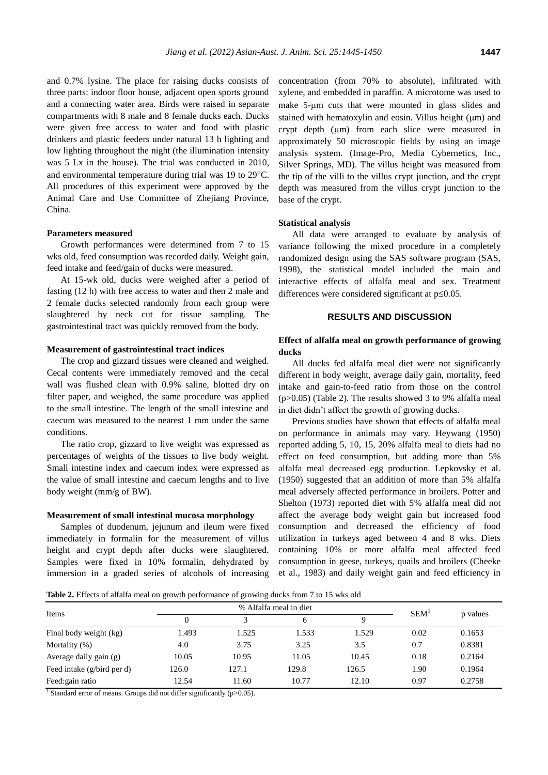and 0.7% lysine. The place for raising ducks consists of three parts: indoor floor house, adjacent open sports ground and a connecting water area. Birds were raised in separate compartments with 8 male and 8 female ducks each. Ducks were given free access to water and food with plastic drinkers and plastic feeders under natural 13 h lighting and low lighting throughout the night (the illumination intensity was 5 Lx in the house). The trial was conducted in 2010, and environmental temperature during trial was 19 to 29°C. All procedures of this experiment were approved by the Animal Care and Use Committee of Zhejiang Province, China.

### **Parameters measured**

Growth performances were determined from 7 to 15 wks old, feed consumption was recorded daily. Weight gain, feed intake and feed/gain of ducks were measured.

At 15-wk old, ducks were weighed after a period of fasting (12 h) with free access to water and then 2 male and 2 female ducks selected randomly from each group were slaughtered by neck cut for tissue sampling. The gastrointestinal tract was quickly removed from the body.

#### **Measurement of gastrointestinal tract indices**

The crop and gizzard tissues were cleaned and weighed. Cecal contents were immediately removed and the cecal wall was flushed clean with 0.9% saline, blotted dry on filter paper, and weighed, the same procedure was applied to the small intestine. The length of the small intestine and caecum was measured to the nearest 1 mm under the same conditions.

The ratio crop, gizzard to live weight was expressed as percentages of weights of the tissues to live body weight. Small intestine index and caecum index were expressed as the value of small intestine and caecum lengths and to live body weight (mm/g of BW).

#### **Measurement of small intestinal mucosa morphology**

Samples of duodenum, jejunum and ileum were fixed immediately in formalin for the measurement of villus height and crypt depth after ducks were slaughtered. Samples were fixed in 10% formalin, dehydrated by immersion in a graded series of alcohols of increasing

concentration (from 70% to absolute), infiltrated with xylene, and embedded in paraffin. A microtome was used to make 5-um cuts that were mounted in glass slides and stained with hematoxylin and eosin. Villus height  $(\mu m)$  and crypt depth  $(\mu m)$  from each slice were measured in approximately 50 microscopic fields by using an image analysis system. (Image-Pro, Media Cybernetics, Inc., Silver Springs, MD). The villus height was measured from the tip of the villi to the villus crypt junction, and the crypt depth was measured from the villus crypt junction to the base of the crypt.

#### **Statistical analysis**

All data were arranged to evaluate by analysis of variance following the mixed procedure in a completely randomized design using the SAS software program (SAS, 1998), the statistical model included the main and interactive effects of alfalfa meal and sex. Treatment differences were considered significant at  $p \le 0.05$ .

## **RESULTS AND DISCUSSION**

## **Effect of alfalfa meal on growth performance of growing ducks**

All ducks fed alfalfa meal diet were not significantly different in body weight, average daily gain, mortality, feed intake and gain-to-feed ratio from those on the control (p>0.05) (Table 2). The results showed 3 to 9% alfalfa meal in diet didn't affect the growth of growing ducks.

Previous studies have shown that effects of alfalfa meal on performance in animals may vary. Heywang (1950) reported adding 5, 10, 15, 20% alfalfa meal to diets had no effect on feed consumption, but adding more than 5% alfalfa meal decreased egg production. Lepkovsky et al. (1950) suggested that an addition of more than 5% alfalfa meal adversely affected performance in broilers. Potter and Shelton (1973) reported diet with 5% alfalfa meal did not affect the average body weight gain but increased food consumption and decreased the efficiency of food utilization in turkeys aged between 4 and 8 wks. Diets containing 10% or more alfalfa meal affected feed consumption in geese, turkeys, quails and broilers (Cheeke et al., 1983) and daily weight gain and feed efficiency in

**Table 2.** Effects of alfalfa meal on growth performance of growing ducks from 7 to 15 wks old

| Items                      | $\Omega$ | 2     |       | Q     | SEM <sup>1</sup> | p values |
|----------------------------|----------|-------|-------|-------|------------------|----------|
| Final body weight (kg)     | 1.493    | 1.525 | 1.533 | 1.529 | 0.02             | 0.1653   |
| Mortality $(\%)$           | 4.0      | 3.75  | 3.25  | 3.5   | 0.7              | 0.8381   |
| Average daily gain (g)     | 10.05    | 10.95 | 11.05 | 10.45 | 0.18             | 0.2164   |
| Feed intake (g/bird per d) | 126.0    | 127.1 | 129.8 | 126.5 | 1.90             | 0.1964   |
| Feed: gain ratio           | 12.54    | 11.60 | 10.77 | 12.10 | 0.97             | 0.2758   |

<sup>1</sup> Standard error of means. Groups did not differ significantly ( $p$  > 0.05).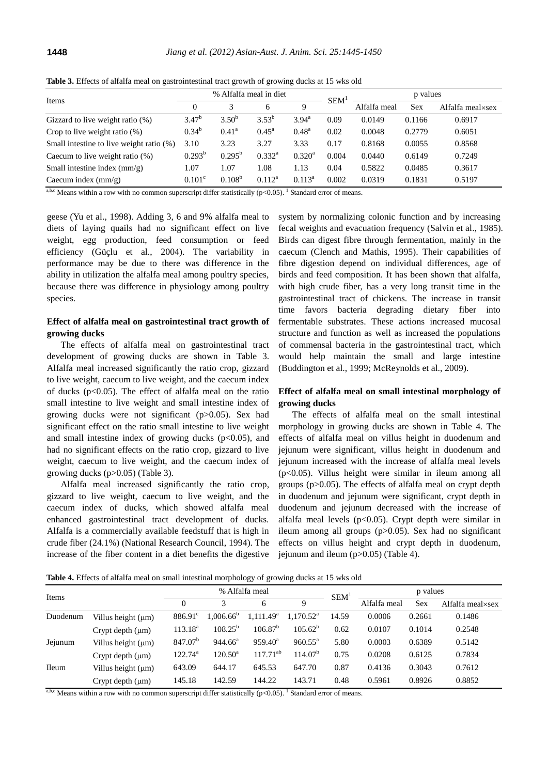| Items                                    | % Alfalfa meal in diet |                 |                   |                 | <b>SEM</b> | p values     |        |                  |
|------------------------------------------|------------------------|-----------------|-------------------|-----------------|------------|--------------|--------|------------------|
|                                          | $\Omega$               | 3               | 6                 | 9               |            | Alfalfa meal | Sex    | Alfalfa meal×sex |
| Gizzard to live weight ratio (%)         | $3.47^{b}$             | $3.50^{b}$      | $3.53^{b}$        | $3.94^{\circ}$  | 0.09       | 0.0149       | 0.1166 | 0.6917           |
| Crop to live weight ratio $(\%)$         | $0.34^{b}$             | $0.41^{\rm a}$  | $0.45^{\text{a}}$ | $0.48^{\rm a}$  | 0.02       | 0.0048       | 0.2779 | 0.6051           |
| Small intestine to live weight ratio (%) | 3.10                   | 3.23            | 3.27              | 3.33            | 0.17       | 0.8168       | 0.0055 | 0.8568           |
| Caecum to live weight ratio $(\%)$       | $0.293^b$              | $0.295^{\rm b}$ | $0.332^{\rm a}$   | $0.320^{\rm a}$ | 0.004      | 0.0440       | 0.6149 | 0.7249           |
| Small intestine index $\text{(mm/g)}$    | 1.07                   | 1.07            | 1.08              | 1.13            | 0.04       | 0.5822       | 0.0485 | 0.3617           |
| Caecum index $\text{(mm/g)}$             | $0.101^{\circ}$        | $0.108^{b}$     | $0.112^a$         | $0.113^a$       | 0.002      | 0.0319       | 0.1831 | 0.5197           |

**Table 3.** Effects of alfalfa meal on gastrointestinal tract growth of growing ducks at 15 wks old

<sup>a,b,c</sup> Means within a row with no common superscript differ statistically  $(p<0.05)$ . <sup>1</sup> Standard error of means.

geese (Yu et al., 1998). Adding 3, 6 and 9% alfalfa meal to diets of laying quails had no significant effect on live weight, egg production, feed consumption or feed efficiency (Güçlu et al., 2004). The variability in performance may be due to there was difference in the ability in utilization the alfalfa meal among poultry species, because there was difference in physiology among poultry species.

## **Effect of alfalfa meal on gastrointestinal tract growth of growing ducks**

The effects of alfalfa meal on gastrointestinal tract development of growing ducks are shown in Table 3. Alfalfa meal increased significantly the ratio crop, gizzard to live weight, caecum to live weight, and the caecum index of ducks ( $p<0.05$ ). The effect of alfalfa meal on the ratio small intestine to live weight and small intestine index of growing ducks were not significant (p>0.05). Sex had significant effect on the ratio small intestine to live weight and small intestine index of growing ducks ( $p<0.05$ ), and had no significant effects on the ratio crop, gizzard to live weight, caecum to live weight, and the caecum index of growing ducks (p>0.05) (Table 3).

Alfalfa meal increased significantly the ratio crop, gizzard to live weight, caecum to live weight, and the caecum index of ducks, which showed alfalfa meal enhanced gastrointestinal tract development of ducks. Alfalfa is a commercially available feedstuff that is high in crude fiber (24.1%) (National Research Council, 1994). The increase of the fiber content in a diet benefits the digestive system by normalizing colonic function and by increasing fecal weights and evacuation frequency (Salvin et al., 1985). Birds can digest fibre through fermentation, mainly in the caecum (Clench and Mathis, 1995). Their capabilities of fibre digestion depend on individual differences, age of birds and feed composition. It has been shown that alfalfa, with high crude fiber, has a very long transit time in the gastrointestinal tract of chickens. The increase in transit time favors bacteria degrading dietary fiber into fermentable substrates. These actions increased mucosal structure and function as well as increased the populations of commensal bacteria in the gastrointestinal tract, which would help maintain the small and large intestine (Buddington et al., 1999; McReynolds et al., 2009).

# **Effect of alfalfa meal on small intestinal morphology of growing ducks**

The effects of alfalfa meal on the small intestinal morphology in growing ducks are shown in Table 4. The effects of alfalfa meal on villus height in duodenum and jejunum were significant, villus height in duodenum and jejunum increased with the increase of alfalfa meal levels (p<0.05). Villus height were similar in ileum among all groups (p>0.05). The effects of alfalfa meal on crypt depth in duodenum and jejunum were significant, crypt depth in duodenum and jejunum decreased with the increase of alfalfa meal levels ( $p<0.05$ ). Crypt depth were similar in ileum among all groups (p>0.05). Sex had no significant effects on villus height and crypt depth in duodenum, jejunum and ileum (p>0.05) (Table 4).

**Table 4.** Effects of alfalfa meal on small intestinal morphology of growing ducks at 15 wks old

| Items        |                         |                     | % Alfalfa meal   |                       |                       |                  | p values     |        |                  |
|--------------|-------------------------|---------------------|------------------|-----------------------|-----------------------|------------------|--------------|--------|------------------|
|              |                         | $\theta$            | 3                | 6                     | 9                     | SEM <sup>1</sup> | Alfalfa meal | Sex    | Alfalfa meal×sex |
| Duodenum     | Villus height $(\mu m)$ | $886.91^{\circ}$    | $1.006.66^{b}$   | 1.111.49 <sup>a</sup> | 1.170.52 <sup>a</sup> | 14.59            | 0.0006       | 0.2661 | 0.1486           |
|              | Crypt depth $(\mu m)$   | $113.18^a$          | $108.25^{b}$     | $106.87^{\rm b}$      | $105.62^{b}$          | 0.62             | 0.0107       | 0.1014 | 0.2548           |
| Jejunum      | Villus height $(\mu m)$ | 847.07 <sup>b</sup> | $944.66^{\circ}$ | $959.40^{\circ}$      | $960.55^{\circ}$      | 5.80             | 0.0003       | 0.6389 | 0.5142           |
|              | Crypt depth $(\mu m)$   | $122.74^{\rm a}$    | $120.50^a$       | $117.71^{ab}$         | 114.07 <sup>b</sup>   | 0.75             | 0.0208       | 0.6125 | 0.7834           |
| <b>Ileum</b> | Villus height $(\mu m)$ | 643.09              | 644.17           | 645.53                | 647.70                | 0.87             | 0.4136       | 0.3043 | 0.7612           |
|              | Crypt depth $(\mu m)$   | 145.18              | 142.59           | 144.22                | 143.71                | 0.48             | 0.5961       | 0.8926 | 0.8852           |

a,b,c Means within a row with no common superscript differ statistically  $(p<0.05)$ . I Standard error of means.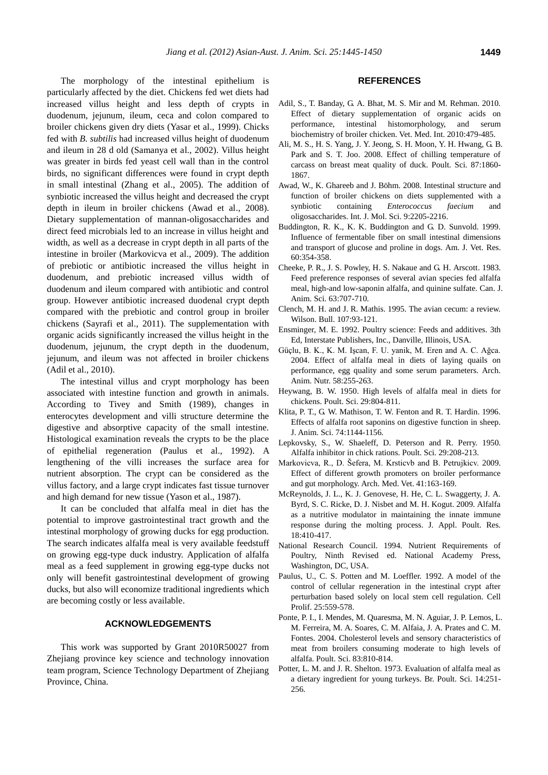The morphology of the intestinal epithelium is particularly affected by the diet. Chickens fed wet diets had increased villus height and less depth of crypts in duodenum, jejunum, ileum, ceca and colon compared to broiler chickens given dry diets (Yasar et al., 1999). Chicks fed with *B. subtilis* had increased villus height of duodenum and ileum in 28 d old (Samanya et al., 2002). Villus height was greater in birds fed yeast cell wall than in the control birds, no significant differences were found in crypt depth in small intestinal (Zhang et al., 2005). The addition of 1867.

synbiotic increased the villus height and decreased the crypt depth in ileum in broiler chickens (Awad et al., 2008). Dietary supplementation of mannan-oligosaccharides and direct feed microbials led to an increase in villus height and width, as well as a decrease in crypt depth in all parts of the intestine in broiler (Markovicva et al., 2009). The addition of prebiotic or antibiotic increased the villus height in duodenum, and prebiotic increased villus width of duodenum and ileum compared with antibiotic and control group. However antibiotic increased duodenal crypt depth compared with the prebiotic and control group in broiler chickens (Sayrafi et al., 2011). The supplementation with organic acids significantly increased the villus height in the duodenum, jejunum, the crypt depth in the duodenum, jejunum, and ileum was not affected in broiler chickens (Adil et al., 2010).

The intestinal villus and crypt morphology has been associated with intestine function and growth in animals. According to Tivey and Smith (1989), changes in enterocytes development and villi structure determine the digestive and absorptive capacity of the small intestine. Histological examination reveals the crypts to be the place of epithelial regeneration (Paulus et al., 1992). A lengthening of the villi increases the surface area for nutrient absorption. The crypt can be considered as the villus factory, and a large crypt indicates fast tissue turnover and high demand for new tissue (Yason et al., 1987).

It can be concluded that alfalfa meal in diet has the potential to improve gastrointestinal tract growth and the intestinal morphology of growing ducks for egg production. The search indicates alfalfa meal is very available feedstuff on growing egg-type duck industry. Application of alfalfa meal as a feed supplement in growing egg-type ducks not only will benefit gastrointestinal development of growing ducks, but also will economize traditional ingredients which are becoming costly or less available.

## **ACKNOWLEDGEMENTS**

This work was supported by Grant 2010R50027 from Zhejiang province key science and technology innovation team program, Science Technology Department of Zhejiang Province, China.

# **REFERENCES**

- Adil, S., T. Banday, G. A. Bhat, M. S. Mir and M. Rehman. 2010. Effect of dietary supplementation of organic acids on performance, intestinal histomorphology, and serum biochemistry of broiler chicken. Vet. Med. Int. 2010:479-485.
- Ali, M. S., H. S. Yang, J. Y. Jeong, S. H. Moon, Y. H. Hwang, G. B. Park and S. T. Joo. 2008. Effect of chilling temperature of carcass on breast meat quality of duck. Poult. Sci. 87:1860-
- Awad, W., K. Ghareeb and J. Böhm. 2008. Intestinal structure and function of broiler chickens on diets supplemented with a synbiotic containing *Enterococcus faecium* and oligosaccharides. Int. J. Mol. Sci. 9:2205-2216.
- Buddington, R. K., K. K. Buddington and G. D. Sunvold. 1999. Influence of fermentable fiber on small intestinal dimensions and transport of glucose and proline in dogs. Am. J. Vet. Res. 60:354-358.
- Cheeke, P. R., J. S. Powley, H. S. Nakaue and G. H. Arscott. 1983. Feed preference responses of several avian species fed alfalfa meal, high-and low-saponin alfalfa, and quinine sulfate. Can. J. Anim. Sci. 63:707-710.
- Clench, M. H. and J. R. Mathis. 1995. The avian cecum: a review. Wilson. Bull. 107:93-121.
- Ensminger, M. E. 1992. Poultry science: Feeds and additives. 3th Ed, Interstate Publishers, Inc., Danville, Illinois, USA.
- Güçlu, B. K., K. M. Işcan, F. U. yanik, M. Eren and A. C. Ağca. 2004. Effect of alfalfa meal in diets of laying quails on performance, egg quality and some serum parameters. Arch. Anim. Nutr. 58:255-263.
- Heywang, B. W. 1950. High levels of alfalfa meal in diets for chickens. Poult. Sci. 29:804-811.
- Klita, P. T., G. W. Mathison, T. W. Fenton and R. T. Hardin. 1996. Effects of alfalfa root saponins on digestive function in sheep. J. Anim. Sci. 74:1144-1156.
- Lepkovsky, S., W. Shaeleff, D. Peterson and R. Perry. 1950. Alfalfa inhibitor in chick rations. Poult. Sci. 29:208-213.
- Markovicva, R., D. Šefera, M. Krsticvb and B. Petrujkicv. 2009. Effect of different growth promoters on broiler performance and gut morphology. Arch. Med. Vet. 41:163-169.
- McReynolds, J. L., K. J. Genovese, H. He, C. L. Swaggerty, J. A. Byrd, S. C. Ricke, D. J. Nisbet and M. H. Kogut. 2009. Alfalfa as a nutritive modulator in maintaining the innate immune response during the molting process. J. Appl. Poult. Res. 18:410-417.
- National Research Council. 1994. Nutrient Requirements of Poultry, Ninth Revised ed. National Academy Press, Washington, DC, USA.
- Paulus, U., C. S. Potten and M. Loeffler. 1992. A model of the control of cellular regeneration in the intestinal crypt after perturbation based solely on local stem cell regulation. Cell Prolif. 25:559-578.
- Ponte, P. I., I. Mendes, M. Quaresma, M. N. Aguiar, J. P. Lemos, L. M. Ferreira, M. A. Soares, C. M. Alfaia, J. A. Prates and C. M. Fontes. 2004. Cholesterol levels and sensory characteristics of meat from broilers consuming moderate to high levels of alfalfa. Poult. Sci. 83:810-814.
- Potter, L. M. and J. R. Shelton. 1973. Evaluation of alfalfa meal as a dietary ingredient for young turkeys. Br. Poult. Sci. 14:251- 256.